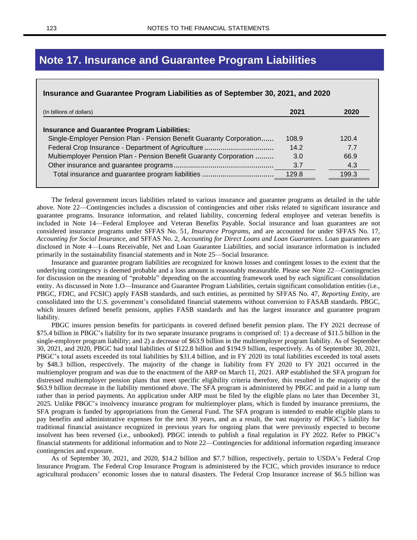## **Note 17. Insurance and Guarantee Program Liabilities**

| Insurance and Guarantee Program Liabilities as of September 30, 2021, and 2020 |       |       |
|--------------------------------------------------------------------------------|-------|-------|
| (In billions of dollars)                                                       | 2021  | 2020  |
| <b>Insurance and Guarantee Program Liabilities:</b>                            |       |       |
| Single-Employer Pension Plan - Pension Benefit Guaranty Corporation            | 108.9 | 120.4 |
|                                                                                | 14.2  | 7.7   |
| Multiemployer Pension Plan - Pension Benefit Guaranty Corporation              | 3.0   | 66.9  |
|                                                                                | 3.7   | 4.3   |
|                                                                                | 129.8 | 199.3 |

The federal government incurs liabilities related to various insurance and guarantee programs as detailed in the table above. Note 22—Contingencies includes a discussion of contingencies and other risks related to significant insurance and guarantee programs. Insurance information, and related liability, concerning federal employee and veteran benefits is included in Note 14—Federal Employee and Veteran Benefits Payable. Social insurance and loan guarantees are not considered insurance programs under SFFAS No. 51, *Insurance Programs,* and are accounted for under SFFAS No. 17*, Accounting for Social Insurance*, and SFFAS No. 2*, Accounting for Direct Loans and Loan Guarantees*. Loan guarantees are disclosed in Note 4—Loans Receivable, Net and Loan Guarantee Liabilities, and social insurance information is included primarily in the sustainability financial statements and in Note 25—Social Insurance.

Insurance and guarantee program liabilities are recognized for known losses and contingent losses to the extent that the underlying contingency is deemed probable and a loss amount is reasonably measurable. Please see Note 22—Contingencies for discussion on the meaning of "probable" depending on the accounting framework used by each significant consolidation entity. As discussed in Note 1.O—Insurance and Guarantee Program Liabilities, certain significant consolidation entities (i.e., PBGC, FDIC, and FCSIC) apply FASB standards, and such entities, as permitted by SFFAS No. 47, *Reporting Entity*, are consolidated into the U.S. government's consolidated financial statements without conversion to FASAB standards. PBGC, which insures defined benefit pensions, applies FASB standards and has the largest insurance and guarantee program liability.

PBGC insures pension benefits for participants in covered defined benefit pension plans. The FY 2021 decrease of \$75.4 billion in PBGC's liability for its two separate insurance programs is comprised of: 1) a decrease of \$11.5 billion in the single-employer program liability; and 2) a decrease of \$63.9 billion in the multiemployer program liability. As of September 30, 2021, and 2020, PBGC had total liabilities of \$122.8 billion and \$194.9 billion, respectively. As of September 30, 2021, PBGC's total assets exceeded its total liabilities by \$31.4 billion, and in FY 2020 its total liabilities exceeded its total assets by \$48.3 billion, respectively. The majority of the change in liability from FY 2020 to FY 2021 occurred in the multiemployer program and was due to the enactment of the ARP on March 11, 2021. ARP established the SFA program for distressed multiemployer pension plans that meet specific eligibility criteria therefore, this resulted in the majority of the \$63.9 billion decrease in the liability mentioned above. The SFA program is administered by PBGC and paid in a lump sum rather than in period payments. An application under ARP must be filed by the eligible plans no later than December 31, 2025. Unlike PBGC's insolvency insurance program for multiemployer plans, which is funded by insurance premiums, the SFA program is funded by appropriations from the General Fund. The SFA program is intended to enable eligible plans to pay benefits and administrative expenses for the next 30 years, and as a result, the vast majority of PBGC's liability for traditional financial assistance recognized in previous years for ongoing plans that were previously expected to become insolvent has been reversed (i.e., unbooked). PBGC intends to publish a final regulation in FY 2022. Refer to PBGC's financial statements for additional information and to Note 22—Contingencies for additional information regarding insurance contingencies and exposure.

As of September 30, 2021, and 2020, \$14.2 billion and \$7.7 billion, respectively, pertain to USDA's Federal Crop Insurance Program. The Federal Crop Insurance Program is administered by the FCIC, which provides insurance to reduce agricultural producers' economic losses due to natural disasters. The Federal Crop Insurance increase of \$6.5 billion was